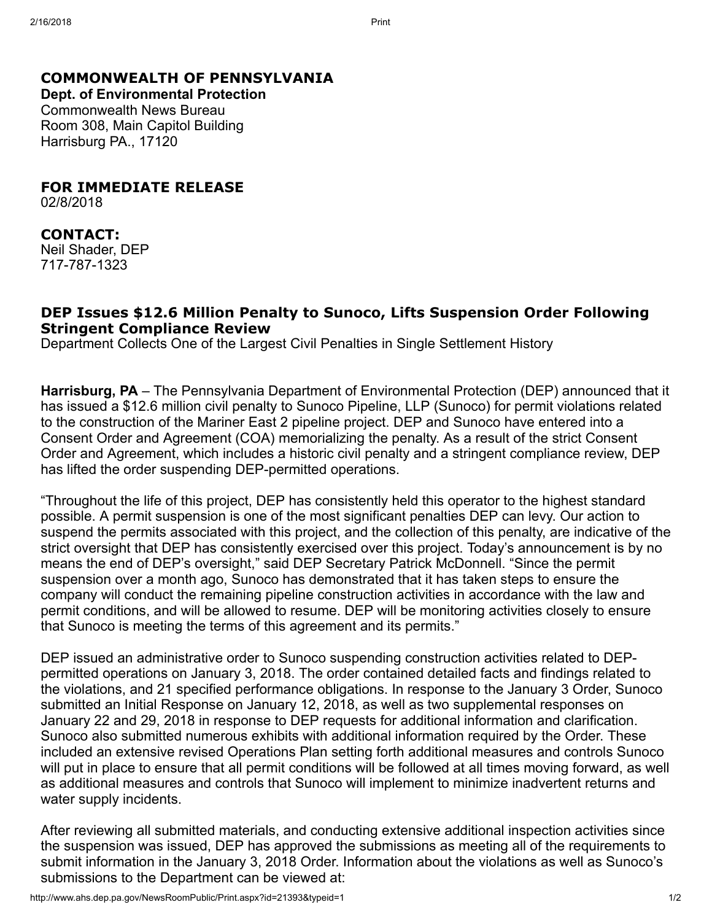## COMMONWEALTH OF PENNSYLVANIA

Dept. of Environmental Protection Commonwealth News Bureau Room 308, Main Capitol Building Harrisburg PA., 17120

FOR IMMEDIATE RELEASE

02/8/2018

## CONTACT:

Neil Shader, DEP 717-787-1323

## DEP Issues \$12.6 Million Penalty to Sunoco, Lifts Suspension Order Following Stringent Compliance Review

Department Collects One of the Largest Civil Penalties in Single Settlement History

Harrisburg, PA – The Pennsylvania Department of Environmental Protection (DEP) announced that it has issued a \$12.6 million civil penalty to Sunoco Pipeline, LLP (Sunoco) for permit violations related to the construction of the Mariner East 2 pipeline project. DEP and Sunoco have entered into a Consent Order and Agreement (COA) memorializing the penalty. As a result of the strict Consent Order and Agreement, which includes a historic civil penalty and a stringent compliance review, DEP has lifted the order suspending DEP-permitted operations.

"Throughout the life of this project, DEP has consistently held this operator to the highest standard possible. A permit suspension is one of the most significant penalties DEP can levy. Our action to suspend the permits associated with this project, and the collection of this penalty, are indicative of the strict oversight that DEP has consistently exercised over this project. Today's announcement is by no means the end of DEP's oversight," said DEP Secretary Patrick McDonnell. "Since the permit suspension over a month ago, Sunoco has demonstrated that it has taken steps to ensure the company will conduct the remaining pipeline construction activities in accordance with the law and permit conditions, and will be allowed to resume. DEP will be monitoring activities closely to ensure that Sunoco is meeting the terms of this agreement and its permits."

DEP issued an administrative order to Sunoco suspending construction activities related to DEPpermitted operations on January 3, 2018. The order contained detailed facts and findings related to the violations, and 21 specified performance obligations. In response to the January 3 Order, Sunoco submitted an Initial Response on January 12, 2018, as well as two supplemental responses on January 22 and 29, 2018 in response to DEP requests for additional information and clarification. Sunoco also submitted numerous exhibits with additional information required by the Order. These included an extensive revised Operations Plan setting forth additional measures and controls Sunoco will put in place to ensure that all permit conditions will be followed at all times moving forward, as well as additional measures and controls that Sunoco will implement to minimize inadvertent returns and water supply incidents.

After reviewing all submitted materials, and conducting extensive additional inspection activities since the suspension was issued, DEP has approved the submissions as meeting all of the requirements to submit information in the January 3, 2018 Order. Information about the violations as well as Sunoco's submissions to the Department can be viewed at: